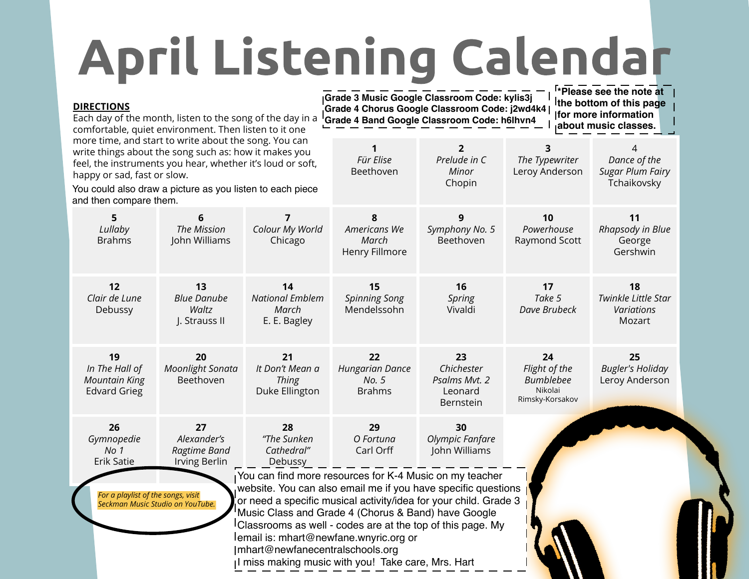## **April Listening Calendar**

| <b>DIRECTIONS</b>                                                                                                                                                                                                                                                                                  | Each day of the month, listen to the song of the day in a<br>comfortable, quiet environment. Then listen to it one |                                                         | <sup>1</sup> *Please see the note at<br>Grade 3 Music Google Classroom Code: kylis3j<br>the bottom of this page<br>Grade 4 Chorus Google Classroom Code: j2wd4k4  <br>for more information<br>Grade 4 Band Google Classroom Code: h6lhvn4<br>about music classes.                                                                                                                                                  |                                                                  |                                                                       |                                                             |  |
|----------------------------------------------------------------------------------------------------------------------------------------------------------------------------------------------------------------------------------------------------------------------------------------------------|--------------------------------------------------------------------------------------------------------------------|---------------------------------------------------------|--------------------------------------------------------------------------------------------------------------------------------------------------------------------------------------------------------------------------------------------------------------------------------------------------------------------------------------------------------------------------------------------------------------------|------------------------------------------------------------------|-----------------------------------------------------------------------|-------------------------------------------------------------|--|
| more time, and start to write about the song. You can<br>write things about the song such as: how it makes you<br>feel, the instruments you hear, whether it's loud or soft,<br>happy or sad, fast or slow.<br>You could also draw a picture as you listen to each piece<br>and then compare them. |                                                                                                                    |                                                         | 1<br>Für Elise<br>Beethoven                                                                                                                                                                                                                                                                                                                                                                                        | $\mathbf{2}$<br>Prelude in C<br>Minor<br>Chopin                  | 3<br>The Typewriter<br>Leroy Anderson                                 | 4<br>Dance of the<br><b>Sugar Plum Fairy</b><br>Tchaikovsky |  |
| 5<br>Lullaby<br><b>Brahms</b>                                                                                                                                                                                                                                                                      | 6<br>The Mission<br>John Williams                                                                                  | 7<br>Colour My World<br>Chicago                         | 8<br>Americans We<br>March<br>Henry Fillmore                                                                                                                                                                                                                                                                                                                                                                       | 9<br>Symphony No. 5<br>Beethoven                                 | 10<br>Powerhouse<br>Raymond Scott                                     | 11<br>Rhapsody in Blue<br>George<br>Gershwin                |  |
| 12<br>Clair de Lune<br>Debussy                                                                                                                                                                                                                                                                     | 13<br><b>Blue Danube</b><br>Waltz<br>J. Strauss II                                                                 | 14<br><b>National Emblem</b><br>March<br>E. E. Bagley   | 15<br><b>Spinning Song</b><br>Mendelssohn                                                                                                                                                                                                                                                                                                                                                                          | 16<br>Spring<br>Vivaldi                                          | 17<br>Take 5<br>Dave Brubeck                                          | 18<br>Twinkle Little Star<br>Variations<br>Mozart           |  |
| 19<br>In The Hall of<br><b>Mountain King</b><br><b>Edvard Grieg</b>                                                                                                                                                                                                                                | 20<br><b>Moonlight Sonata</b><br>Beethoven                                                                         | 21<br>It Don't Mean a<br><b>Thing</b><br>Duke Ellington | 22<br><b>Hungarian Dance</b><br>No. 5<br><b>Brahms</b>                                                                                                                                                                                                                                                                                                                                                             | 23<br>Chichester<br>Psalms Mvt. 2<br>Leonard<br><b>Bernstein</b> | 24<br>Flight of the<br><b>Bumblebee</b><br>Nikolai<br>Rimsky-Korsakov | 25<br><b>Bugler's Holiday</b><br>Leroy Anderson             |  |
| 26<br>Gymnopedie<br>No 1<br>Erik Satie                                                                                                                                                                                                                                                             | 27<br>Alexander's<br>Ragtime Band<br>Irving Berlin                                                                 | 28<br>"The Sunken<br>Cathedral"<br>Debussy              | 29<br>O Fortuna<br>Carl Orff                                                                                                                                                                                                                                                                                                                                                                                       | 30<br>Olympic Fanfare<br>John Williams                           |                                                                       |                                                             |  |
| For a playlist of the songs, visit                                                                                                                                                                                                                                                                 | Seckman Music Studio on YouTube.                                                                                   | Imhart@newfanecentralschools.org                        | You can find more resources for K-4 Music on my teacher<br>website. You can also email me if you have specific questions<br>or need a specific musical activity/idea for your child. Grade 3<br>Music Class and Grade 4 (Chorus & Band) have Google<br>Classrooms as well - codes are at the top of this page. My<br>lemail is: mhart@newfane.wnyric.org or<br>Il miss making music with you! Take care, Mrs. Hart |                                                                  |                                                                       |                                                             |  |